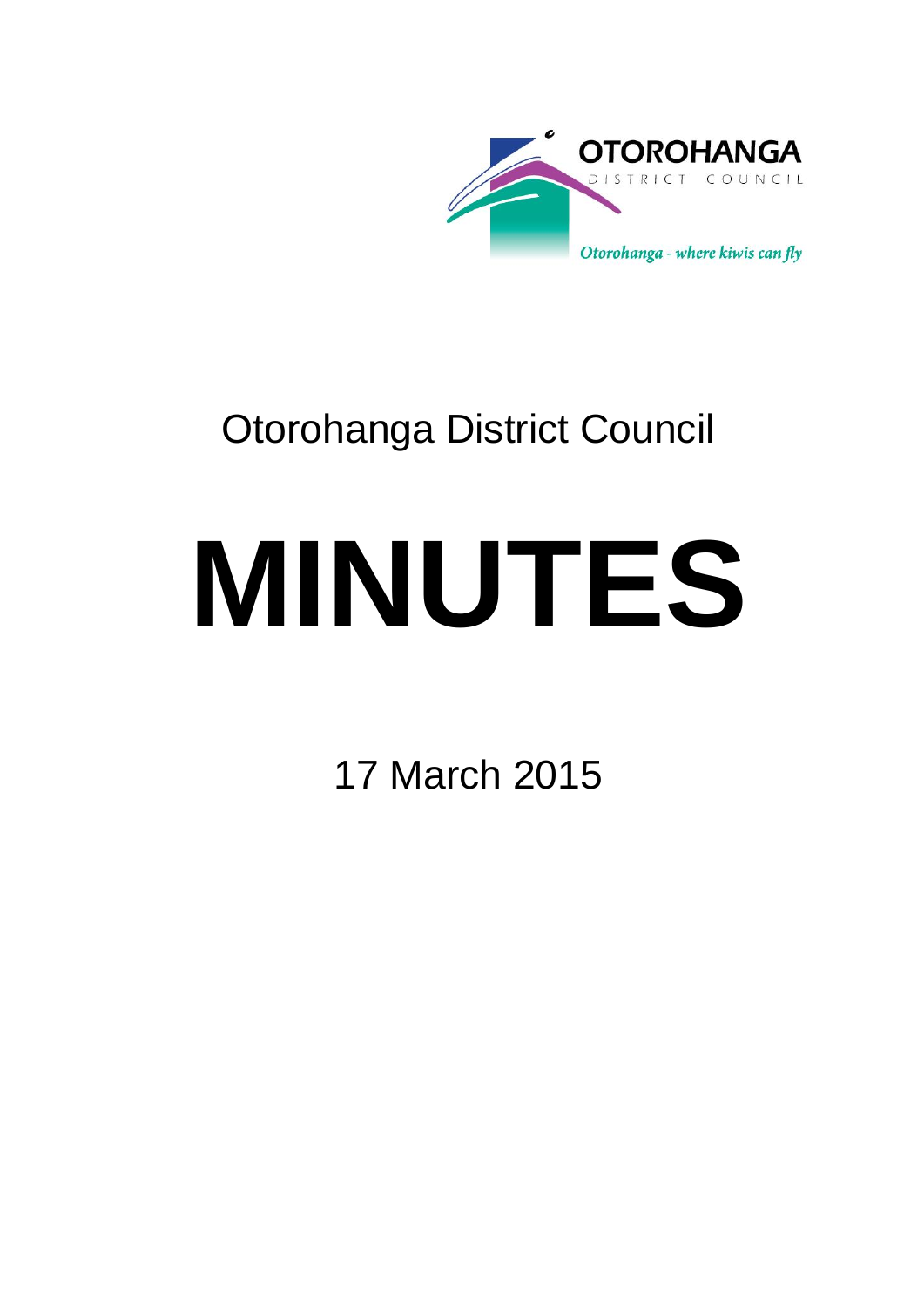

# Otorohanga District Council

# **MINUTES**

17 March 2015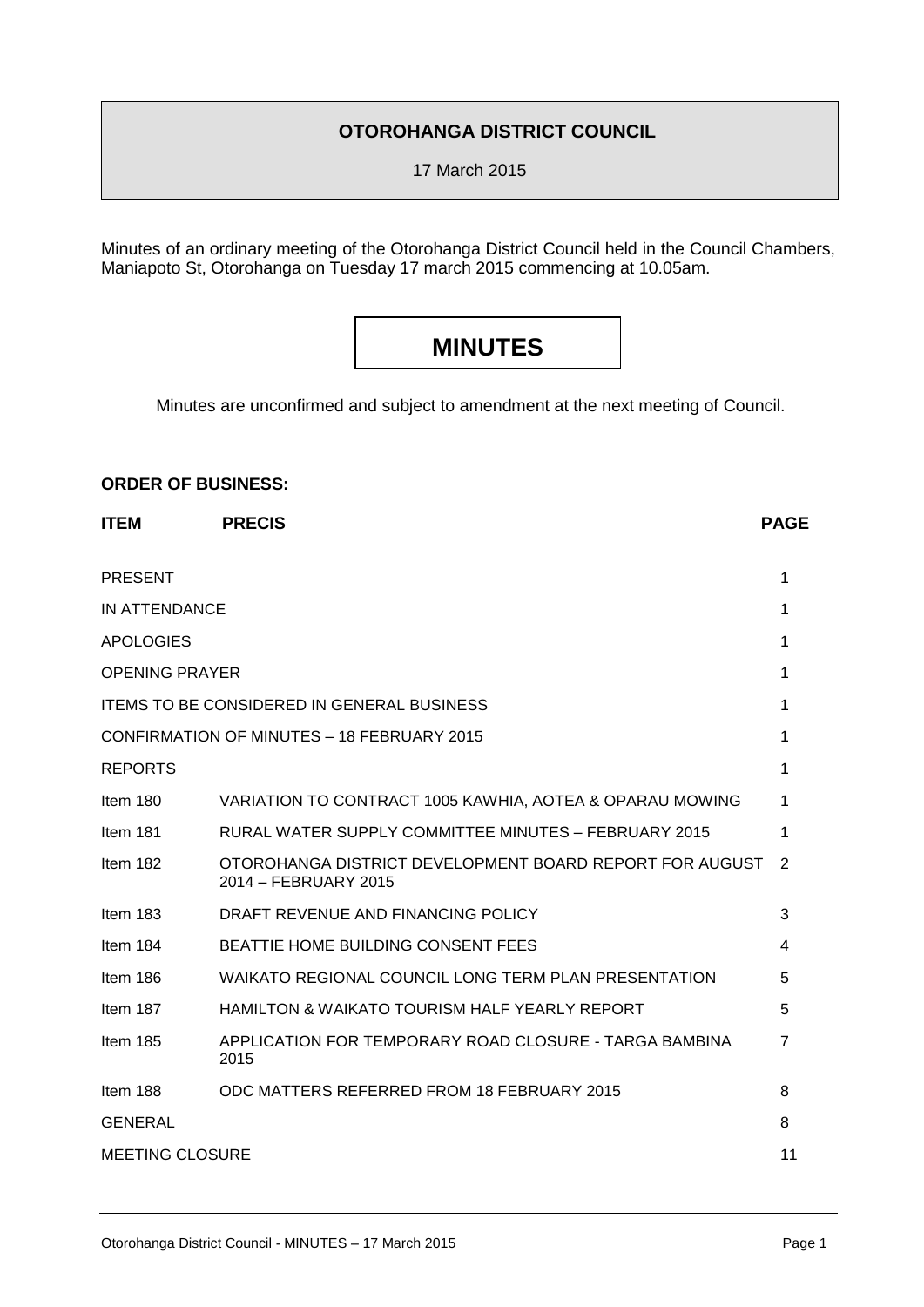### **OTOROHANGA DISTRICT COUNCIL**

17 March 2015

Minutes of an ordinary meeting of the Otorohanga District Council held in the Council Chambers, Maniapoto St, Otorohanga on Tuesday 17 march 2015 commencing at 10.05am.

## **MINUTES**

Minutes are unconfirmed and subject to amendment at the next meeting of Council.

#### **ORDER OF BUSINESS:**

| <b>ITEM</b>            | <b>PRECIS</b>                                                                   | <b>PAGE</b> |
|------------------------|---------------------------------------------------------------------------------|-------------|
| <b>PRESENT</b>         |                                                                                 | 1           |
| IN ATTENDANCE          |                                                                                 | 1           |
| <b>APOLOGIES</b>       |                                                                                 | 1           |
| <b>OPENING PRAYER</b>  |                                                                                 | 1           |
|                        | <b>ITEMS TO BE CONSIDERED IN GENERAL BUSINESS</b>                               | 1           |
|                        | CONFIRMATION OF MINUTES - 18 FEBRUARY 2015                                      | 1           |
| <b>REPORTS</b>         |                                                                                 | 1           |
| Item 180               | VARIATION TO CONTRACT 1005 KAWHIA, AOTEA & OPARAU MOWING                        | 1           |
| Item 181               | RURAL WATER SUPPLY COMMITTEE MINUTES - FEBRUARY 2015                            | 1           |
| Item 182               | OTOROHANGA DISTRICT DEVELOPMENT BOARD REPORT FOR AUGUST<br>2014 - FEBRUARY 2015 | 2           |
| Item 183               | DRAFT REVENUE AND FINANCING POLICY                                              | 3           |
| Item 184               | <b>BEATTIE HOME BUILDING CONSENT FEES</b>                                       | 4           |
| Item 186               | WAIKATO REGIONAL COUNCIL LONG TERM PLAN PRESENTATION                            | 5           |
| Item 187               | <b>HAMILTON &amp; WAIKATO TOURISM HALF YEARLY REPORT</b>                        | 5           |
| Item 185               | APPLICATION FOR TEMPORARY ROAD CLOSURE - TARGA BAMBINA<br>2015                  | 7           |
| Item 188               | ODC MATTERS REFERRED FROM 18 FEBRUARY 2015                                      | 8           |
| <b>GENERAL</b>         |                                                                                 | 8           |
| <b>MEETING CLOSURE</b> |                                                                                 |             |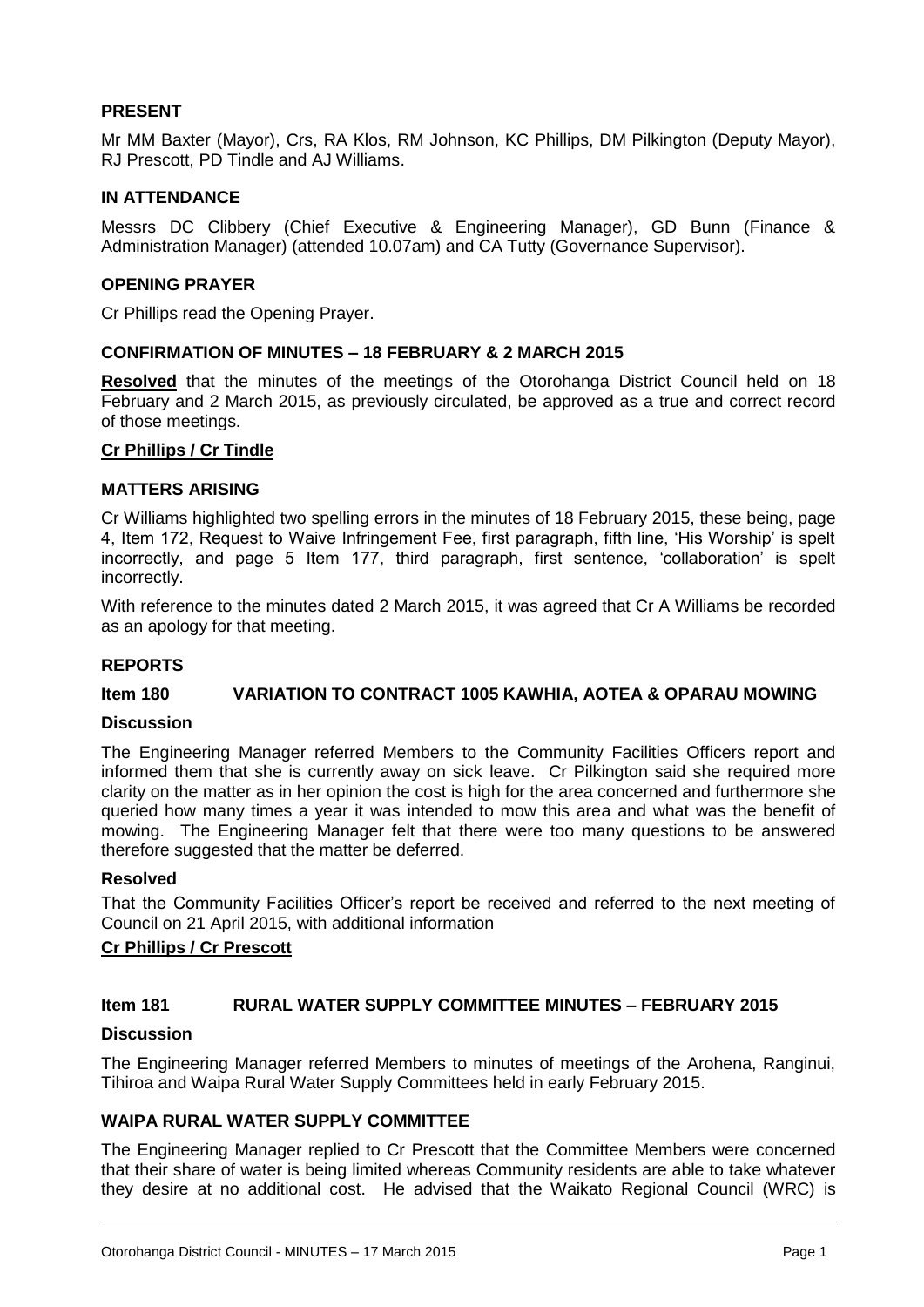#### **PRESENT**

Mr MM Baxter (Mayor), Crs, RA Klos, RM Johnson, KC Phillips, DM Pilkington (Deputy Mayor), RJ Prescott, PD Tindle and AJ Williams.

#### **IN ATTENDANCE**

Messrs DC Clibbery (Chief Executive & Engineering Manager), GD Bunn (Finance & Administration Manager) (attended 10.07am) and CA Tutty (Governance Supervisor).

#### **OPENING PRAYER**

Cr Phillips read the Opening Prayer.

#### **CONFIRMATION OF MINUTES – 18 FEBRUARY & 2 MARCH 2015**

**Resolved** that the minutes of the meetings of the Otorohanga District Council held on 18 February and 2 March 2015, as previously circulated, be approved as a true and correct record of those meetings.

#### **Cr Phillips / Cr Tindle**

#### **MATTERS ARISING**

Cr Williams highlighted two spelling errors in the minutes of 18 February 2015, these being, page 4, Item 172, Request to Waive Infringement Fee, first paragraph, fifth line, 'His Worship' is spelt incorrectly, and page 5 Item 177, third paragraph, first sentence, 'collaboration' is spelt incorrectly.

With reference to the minutes dated 2 March 2015, it was agreed that Cr A Williams be recorded as an apology for that meeting.

#### **REPORTS**

#### **Item 180 VARIATION TO CONTRACT 1005 KAWHIA, AOTEA & OPARAU MOWING**

#### **Discussion**

The Engineering Manager referred Members to the Community Facilities Officers report and informed them that she is currently away on sick leave. Cr Pilkington said she required more clarity on the matter as in her opinion the cost is high for the area concerned and furthermore she queried how many times a year it was intended to mow this area and what was the benefit of mowing. The Engineering Manager felt that there were too many questions to be answered therefore suggested that the matter be deferred.

#### **Resolved**

That the Community Facilities Officer's report be received and referred to the next meeting of Council on 21 April 2015, with additional information

#### **Cr Phillips / Cr Prescott**

#### **Item 181 RURAL WATER SUPPLY COMMITTEE MINUTES – FEBRUARY 2015**

#### **Discussion**

The Engineering Manager referred Members to minutes of meetings of the Arohena, Ranginui, Tihiroa and Waipa Rural Water Supply Committees held in early February 2015.

#### **WAIPA RURAL WATER SUPPLY COMMITTEE**

The Engineering Manager replied to Cr Prescott that the Committee Members were concerned that their share of water is being limited whereas Community residents are able to take whatever they desire at no additional cost. He advised that the Waikato Regional Council (WRC) is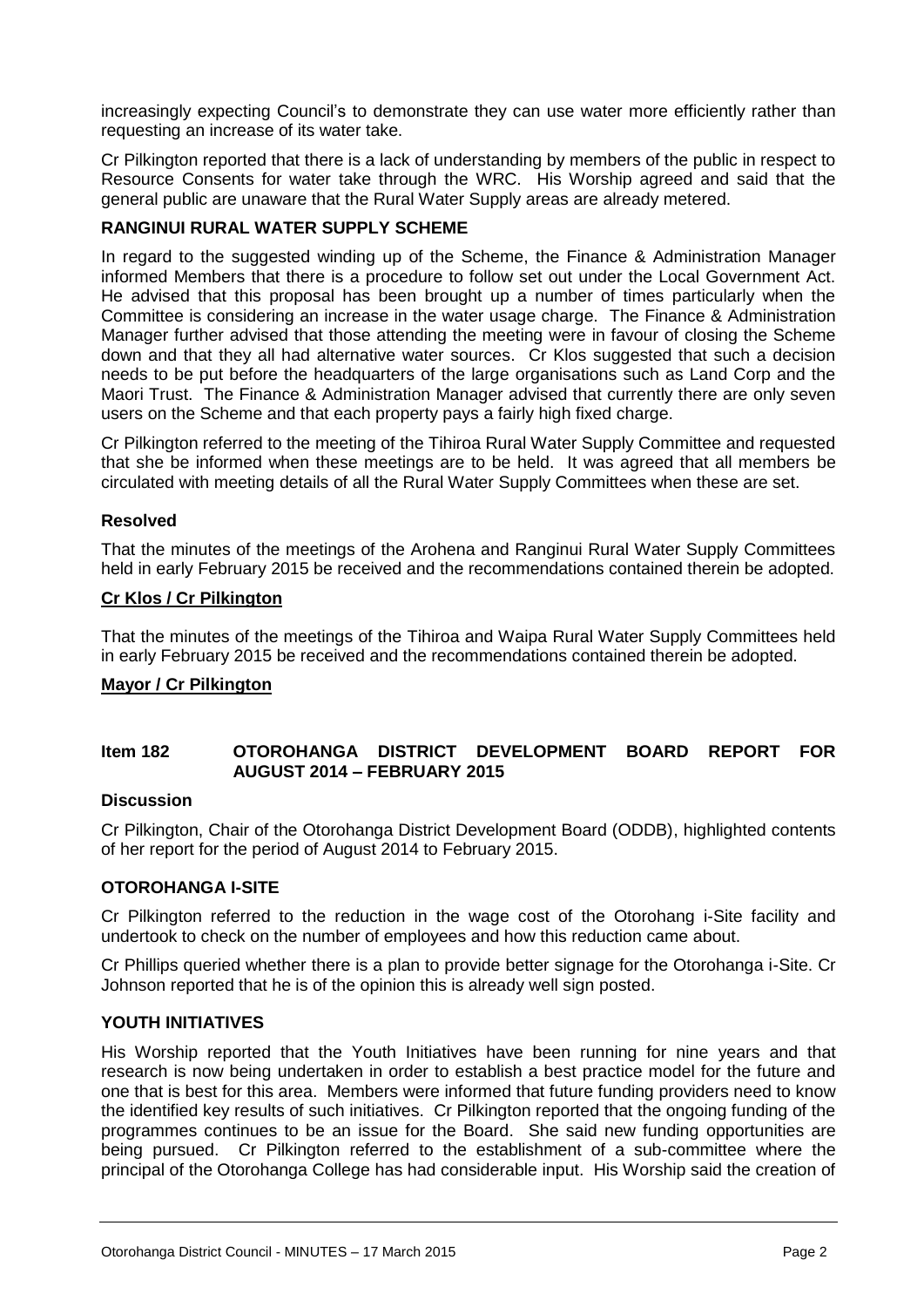increasingly expecting Council's to demonstrate they can use water more efficiently rather than requesting an increase of its water take.

Cr Pilkington reported that there is a lack of understanding by members of the public in respect to Resource Consents for water take through the WRC. His Worship agreed and said that the general public are unaware that the Rural Water Supply areas are already metered.

#### **RANGINUI RURAL WATER SUPPLY SCHEME**

In regard to the suggested winding up of the Scheme, the Finance & Administration Manager informed Members that there is a procedure to follow set out under the Local Government Act. He advised that this proposal has been brought up a number of times particularly when the Committee is considering an increase in the water usage charge. The Finance & Administration Manager further advised that those attending the meeting were in favour of closing the Scheme down and that they all had alternative water sources. Cr Klos suggested that such a decision needs to be put before the headquarters of the large organisations such as Land Corp and the Maori Trust. The Finance & Administration Manager advised that currently there are only seven users on the Scheme and that each property pays a fairly high fixed charge.

Cr Pilkington referred to the meeting of the Tihiroa Rural Water Supply Committee and requested that she be informed when these meetings are to be held. It was agreed that all members be circulated with meeting details of all the Rural Water Supply Committees when these are set.

#### **Resolved**

That the minutes of the meetings of the Arohena and Ranginui Rural Water Supply Committees held in early February 2015 be received and the recommendations contained therein be adopted.

#### **Cr Klos / Cr Pilkington**

That the minutes of the meetings of the Tihiroa and Waipa Rural Water Supply Committees held in early February 2015 be received and the recommendations contained therein be adopted.

#### **Mayor / Cr Pilkington**

#### **Item 182 OTOROHANGA DISTRICT DEVELOPMENT BOARD REPORT FOR AUGUST 2014 – FEBRUARY 2015**

#### **Discussion**

Cr Pilkington, Chair of the Otorohanga District Development Board (ODDB), highlighted contents of her report for the period of August 2014 to February 2015.

#### **OTOROHANGA I-SITE**

Cr Pilkington referred to the reduction in the wage cost of the Otorohang i-Site facility and undertook to check on the number of employees and how this reduction came about.

Cr Phillips queried whether there is a plan to provide better signage for the Otorohanga i-Site. Cr Johnson reported that he is of the opinion this is already well sign posted.

#### **YOUTH INITIATIVES**

His Worship reported that the Youth Initiatives have been running for nine years and that research is now being undertaken in order to establish a best practice model for the future and one that is best for this area. Members were informed that future funding providers need to know the identified key results of such initiatives. Cr Pilkington reported that the ongoing funding of the programmes continues to be an issue for the Board. She said new funding opportunities are being pursued. Cr Pilkington referred to the establishment of a sub-committee where the principal of the Otorohanga College has had considerable input. His Worship said the creation of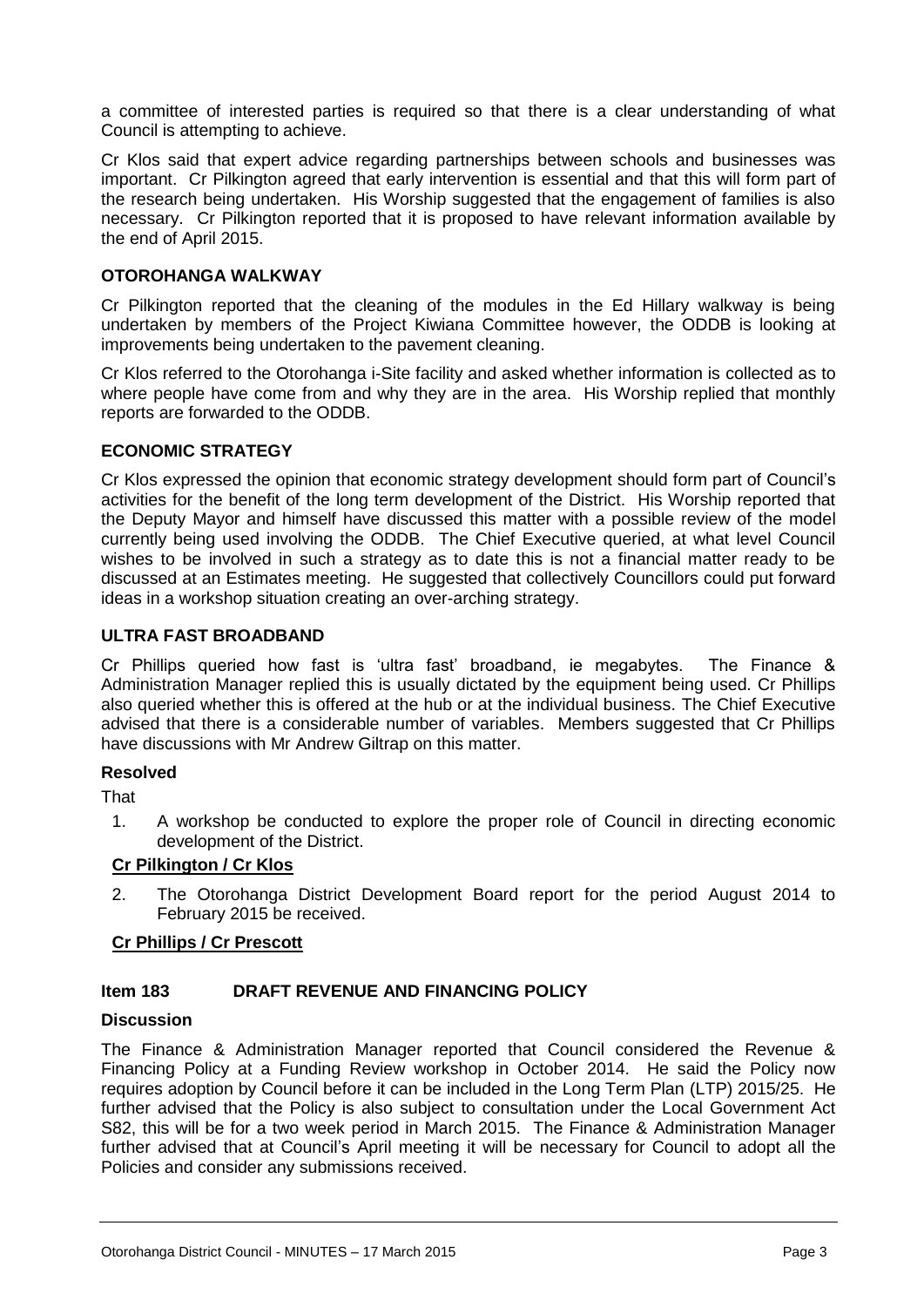a committee of interested parties is required so that there is a clear understanding of what Council is attempting to achieve.

Cr Klos said that expert advice regarding partnerships between schools and businesses was important. Cr Pilkington agreed that early intervention is essential and that this will form part of the research being undertaken. His Worship suggested that the engagement of families is also necessary. Cr Pilkington reported that it is proposed to have relevant information available by the end of April 2015.

#### **OTOROHANGA WALKWAY**

Cr Pilkington reported that the cleaning of the modules in the Ed Hillary walkway is being undertaken by members of the Project Kiwiana Committee however, the ODDB is looking at improvements being undertaken to the pavement cleaning.

Cr Klos referred to the Otorohanga i-Site facility and asked whether information is collected as to where people have come from and why they are in the area. His Worship replied that monthly reports are forwarded to the ODDB.

#### **ECONOMIC STRATEGY**

Cr Klos expressed the opinion that economic strategy development should form part of Council's activities for the benefit of the long term development of the District. His Worship reported that the Deputy Mayor and himself have discussed this matter with a possible review of the model currently being used involving the ODDB. The Chief Executive queried, at what level Council wishes to be involved in such a strategy as to date this is not a financial matter ready to be discussed at an Estimates meeting. He suggested that collectively Councillors could put forward ideas in a workshop situation creating an over-arching strategy.

#### **ULTRA FAST BROADBAND**

Cr Phillips queried how fast is 'ultra fast' broadband, ie megabytes. The Finance & Administration Manager replied this is usually dictated by the equipment being used. Cr Phillips also queried whether this is offered at the hub or at the individual business. The Chief Executive advised that there is a considerable number of variables. Members suggested that Cr Phillips have discussions with Mr Andrew Giltrap on this matter.

#### **Resolved**

**That** 

1. A workshop be conducted to explore the proper role of Council in directing economic development of the District.

#### **Cr Pilkington / Cr Klos**

2. The Otorohanga District Development Board report for the period August 2014 to February 2015 be received.

#### **Cr Phillips / Cr Prescott**

#### **Item 183 DRAFT REVENUE AND FINANCING POLICY**

#### **Discussion**

The Finance & Administration Manager reported that Council considered the Revenue & Financing Policy at a Funding Review workshop in October 2014. He said the Policy now requires adoption by Council before it can be included in the Long Term Plan (LTP) 2015/25. He further advised that the Policy is also subject to consultation under the Local Government Act S82, this will be for a two week period in March 2015. The Finance & Administration Manager further advised that at Council's April meeting it will be necessary for Council to adopt all the Policies and consider any submissions received.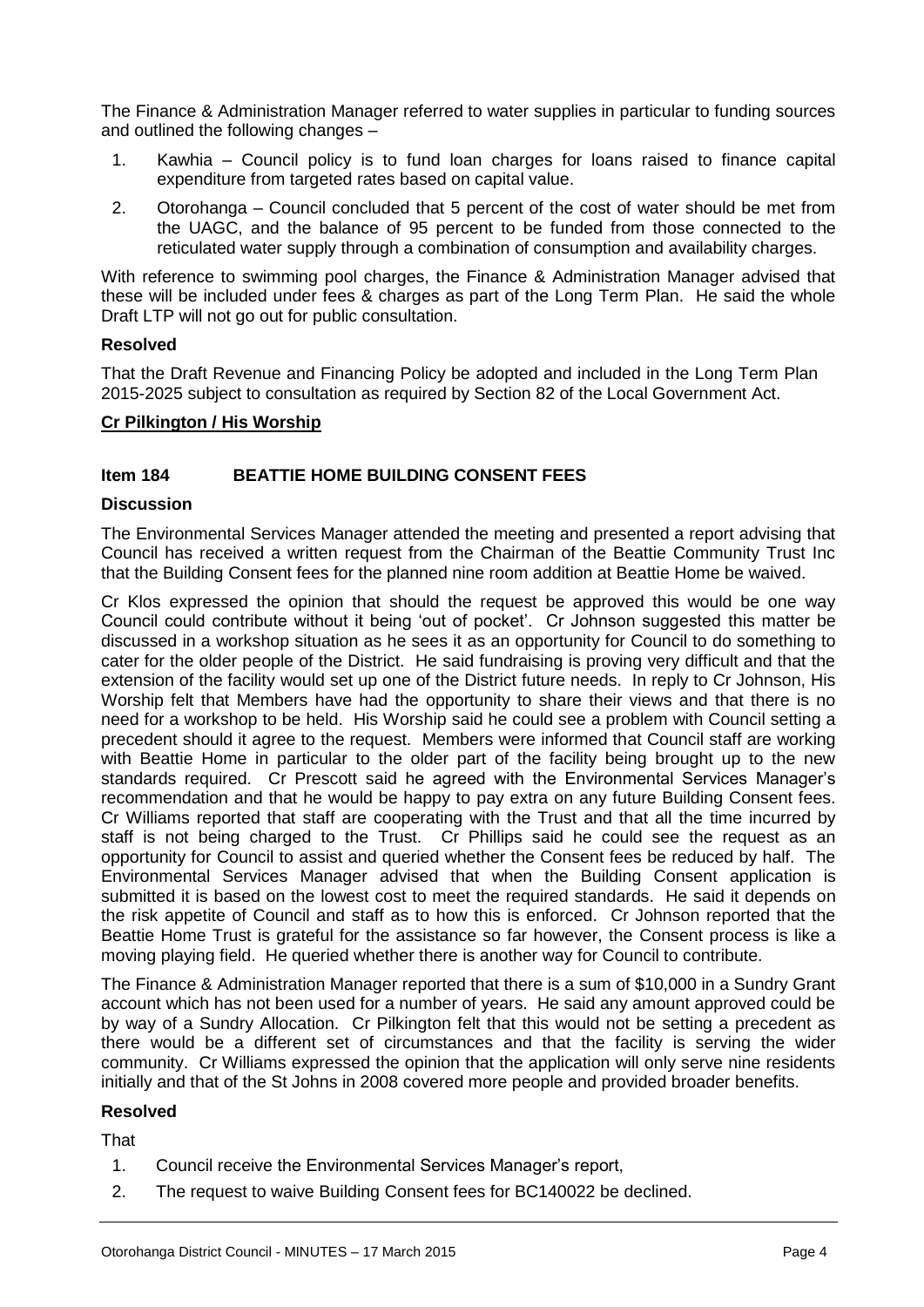The Finance & Administration Manager referred to water supplies in particular to funding sources and outlined the following changes –

- 1. Kawhia Council policy is to fund loan charges for loans raised to finance capital expenditure from targeted rates based on capital value.
- 2. Otorohanga Council concluded that 5 percent of the cost of water should be met from the UAGC, and the balance of 95 percent to be funded from those connected to the reticulated water supply through a combination of consumption and availability charges.

With reference to swimming pool charges, the Finance & Administration Manager advised that these will be included under fees & charges as part of the Long Term Plan. He said the whole Draft LTP will not go out for public consultation.

#### **Resolved**

That the Draft Revenue and Financing Policy be adopted and included in the Long Term Plan 2015-2025 subject to consultation as required by Section 82 of the Local Government Act.

#### **Cr Pilkington / His Worship**

#### **Item 184 BEATTIE HOME BUILDING CONSENT FEES**

#### **Discussion**

The Environmental Services Manager attended the meeting and presented a report advising that Council has received a written request from the Chairman of the Beattie Community Trust Inc that the Building Consent fees for the planned nine room addition at Beattie Home be waived.

Cr Klos expressed the opinion that should the request be approved this would be one way Council could contribute without it being 'out of pocket'. Cr Johnson suggested this matter be discussed in a workshop situation as he sees it as an opportunity for Council to do something to cater for the older people of the District. He said fundraising is proving very difficult and that the extension of the facility would set up one of the District future needs. In reply to Cr Johnson, His Worship felt that Members have had the opportunity to share their views and that there is no need for a workshop to be held. His Worship said he could see a problem with Council setting a precedent should it agree to the request. Members were informed that Council staff are working with Beattie Home in particular to the older part of the facility being brought up to the new standards required. Cr Prescott said he agreed with the Environmental Services Manager's recommendation and that he would be happy to pay extra on any future Building Consent fees. Cr Williams reported that staff are cooperating with the Trust and that all the time incurred by staff is not being charged to the Trust. Cr Phillips said he could see the request as an opportunity for Council to assist and queried whether the Consent fees be reduced by half. The Environmental Services Manager advised that when the Building Consent application is submitted it is based on the lowest cost to meet the required standards. He said it depends on the risk appetite of Council and staff as to how this is enforced. Cr Johnson reported that the Beattie Home Trust is grateful for the assistance so far however, the Consent process is like a moving playing field. He queried whether there is another way for Council to contribute.

The Finance & Administration Manager reported that there is a sum of \$10,000 in a Sundry Grant account which has not been used for a number of years. He said any amount approved could be by way of a Sundry Allocation. Cr Pilkington felt that this would not be setting a precedent as there would be a different set of circumstances and that the facility is serving the wider community. Cr Williams expressed the opinion that the application will only serve nine residents initially and that of the St Johns in 2008 covered more people and provided broader benefits.

#### **Resolved**

That

- 1. Council receive the Environmental Services Manager's report,
- 2. The request to waive Building Consent fees for BC140022 be declined.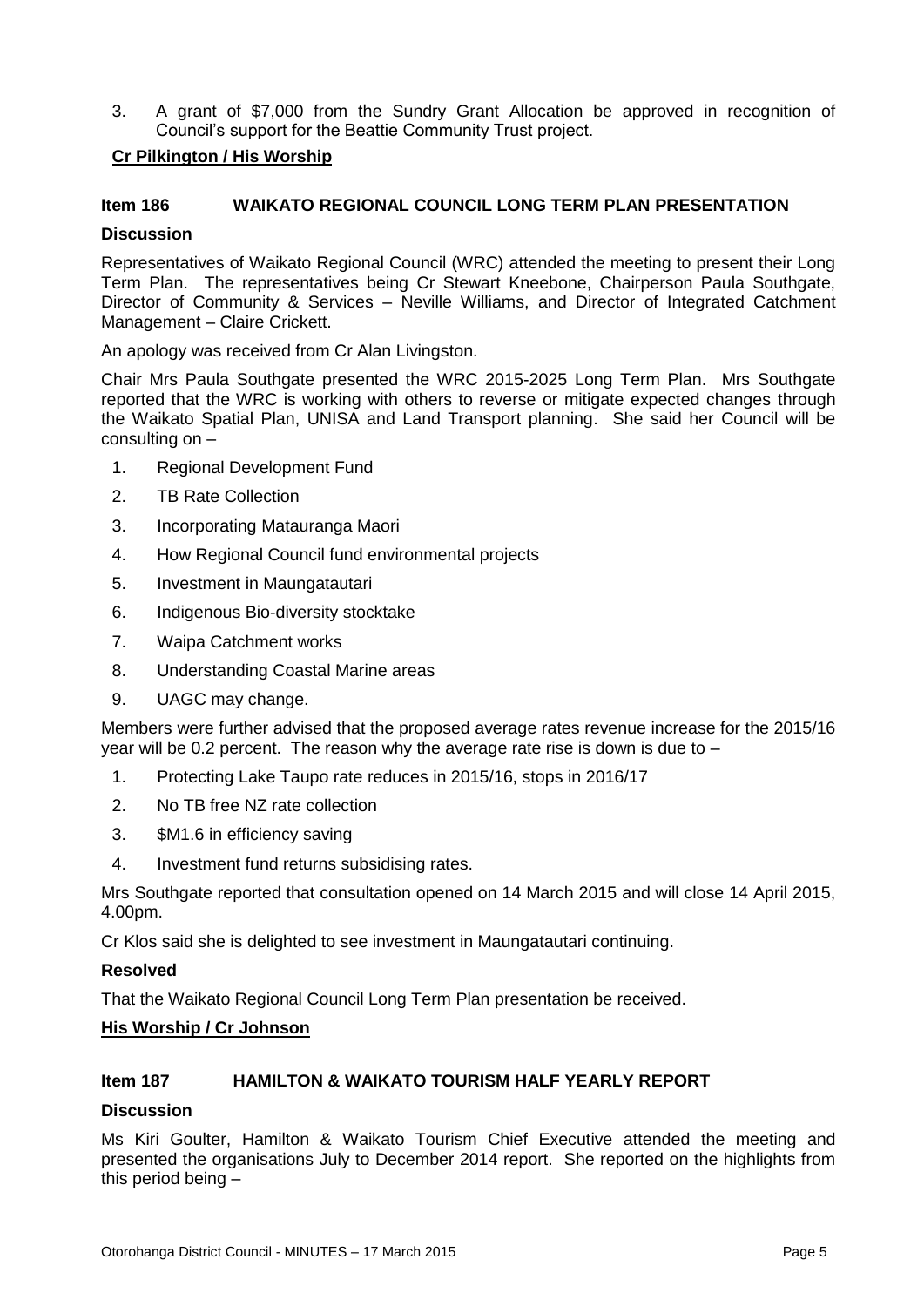3. A grant of \$7,000 from the Sundry Grant Allocation be approved in recognition of Council's support for the Beattie Community Trust project.

#### **Cr Pilkington / His Worship**

#### **Item 186 WAIKATO REGIONAL COUNCIL LONG TERM PLAN PRESENTATION**

#### **Discussion**

Representatives of Waikato Regional Council (WRC) attended the meeting to present their Long Term Plan. The representatives being Cr Stewart Kneebone, Chairperson Paula Southgate, Director of Community & Services – Neville Williams, and Director of Integrated Catchment Management – Claire Crickett.

An apology was received from Cr Alan Livingston.

Chair Mrs Paula Southgate presented the WRC 2015-2025 Long Term Plan. Mrs Southgate reported that the WRC is working with others to reverse or mitigate expected changes through the Waikato Spatial Plan, UNISA and Land Transport planning. She said her Council will be consulting on –

- 1. Regional Development Fund
- 2. TB Rate Collection
- 3. Incorporating Matauranga Maori
- 4. How Regional Council fund environmental projects
- 5. Investment in Maungatautari
- 6. Indigenous Bio-diversity stocktake
- 7. Waipa Catchment works
- 8. Understanding Coastal Marine areas
- 9. UAGC may change.

Members were further advised that the proposed average rates revenue increase for the 2015/16 year will be 0.2 percent. The reason why the average rate rise is down is due to –

- 1. Protecting Lake Taupo rate reduces in 2015/16, stops in 2016/17
- 2. No TB free NZ rate collection
- 3. \$M1.6 in efficiency saving
- 4. Investment fund returns subsidising rates.

Mrs Southgate reported that consultation opened on 14 March 2015 and will close 14 April 2015, 4.00pm.

Cr Klos said she is delighted to see investment in Maungatautari continuing.

#### **Resolved**

That the Waikato Regional Council Long Term Plan presentation be received.

#### **His Worship / Cr Johnson**

#### **Item 187 HAMILTON & WAIKATO TOURISM HALF YEARLY REPORT**

#### **Discussion**

Ms Kiri Goulter, Hamilton & Waikato Tourism Chief Executive attended the meeting and presented the organisations July to December 2014 report. She reported on the highlights from this period being –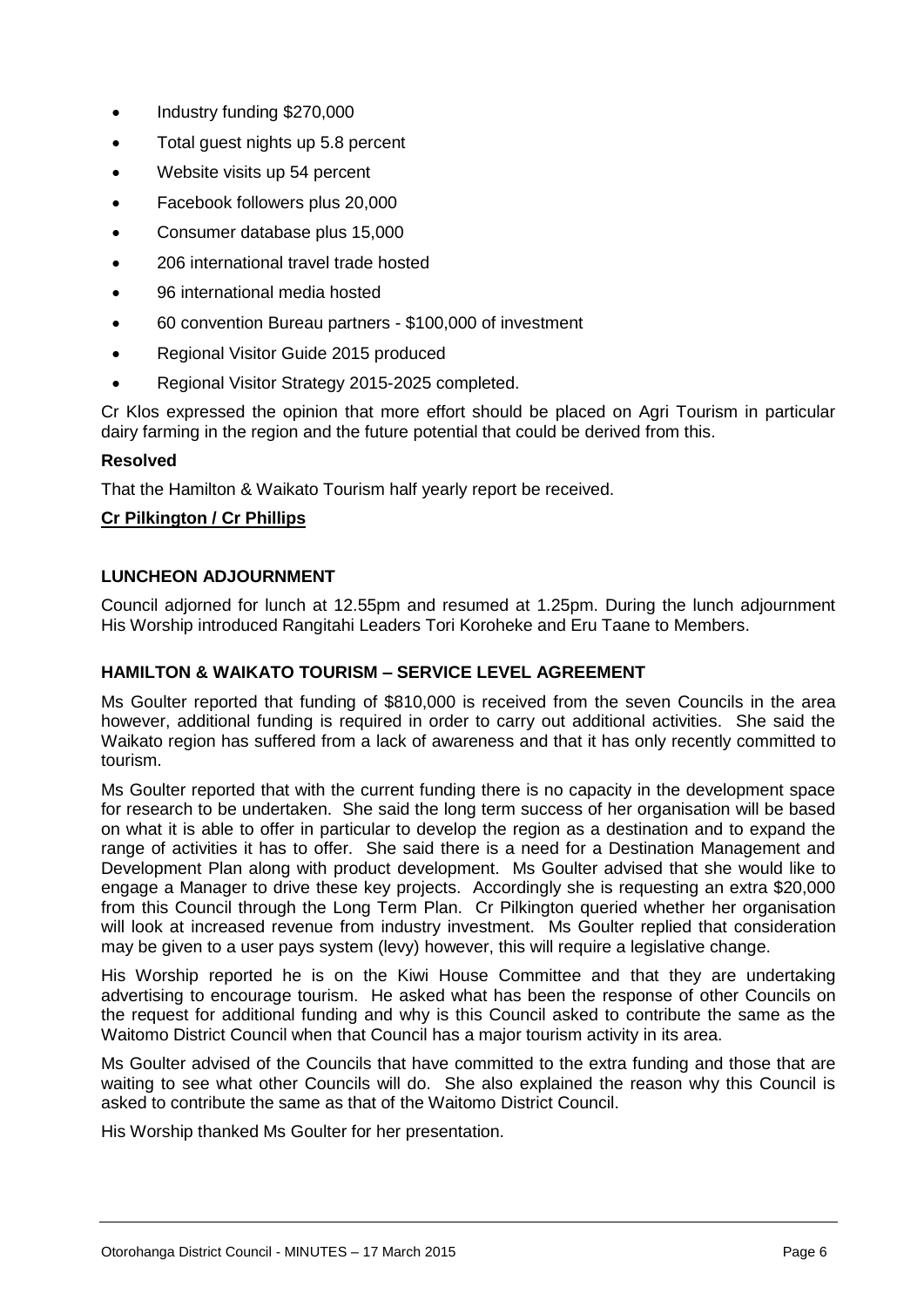- Industry funding \$270,000
- Total guest nights up 5.8 percent
- Website visits up 54 percent
- Facebook followers plus 20,000
- Consumer database plus 15,000
- 206 international travel trade hosted
- 96 international media hosted
- 60 convention Bureau partners \$100,000 of investment
- Regional Visitor Guide 2015 produced
- Regional Visitor Strategy 2015-2025 completed.

Cr Klos expressed the opinion that more effort should be placed on Agri Tourism in particular dairy farming in the region and the future potential that could be derived from this.

#### **Resolved**

That the Hamilton & Waikato Tourism half yearly report be received.

#### **Cr Pilkington / Cr Phillips**

#### **LUNCHEON ADJOURNMENT**

Council adjorned for lunch at 12.55pm and resumed at 1.25pm. During the lunch adjournment His Worship introduced Rangitahi Leaders Tori Koroheke and Eru Taane to Members.

#### **HAMILTON & WAIKATO TOURISM – SERVICE LEVEL AGREEMENT**

Ms Goulter reported that funding of \$810,000 is received from the seven Councils in the area however, additional funding is required in order to carry out additional activities. She said the Waikato region has suffered from a lack of awareness and that it has only recently committed to tourism.

Ms Goulter reported that with the current funding there is no capacity in the development space for research to be undertaken. She said the long term success of her organisation will be based on what it is able to offer in particular to develop the region as a destination and to expand the range of activities it has to offer. She said there is a need for a Destination Management and Development Plan along with product development. Ms Goulter advised that she would like to engage a Manager to drive these key projects. Accordingly she is requesting an extra \$20,000 from this Council through the Long Term Plan. Cr Pilkington queried whether her organisation will look at increased revenue from industry investment. Ms Goulter replied that consideration may be given to a user pays system (levy) however, this will require a legislative change.

His Worship reported he is on the Kiwi House Committee and that they are undertaking advertising to encourage tourism. He asked what has been the response of other Councils on the request for additional funding and why is this Council asked to contribute the same as the Waitomo District Council when that Council has a major tourism activity in its area.

Ms Goulter advised of the Councils that have committed to the extra funding and those that are waiting to see what other Councils will do. She also explained the reason why this Council is asked to contribute the same as that of the Waitomo District Council.

His Worship thanked Ms Goulter for her presentation.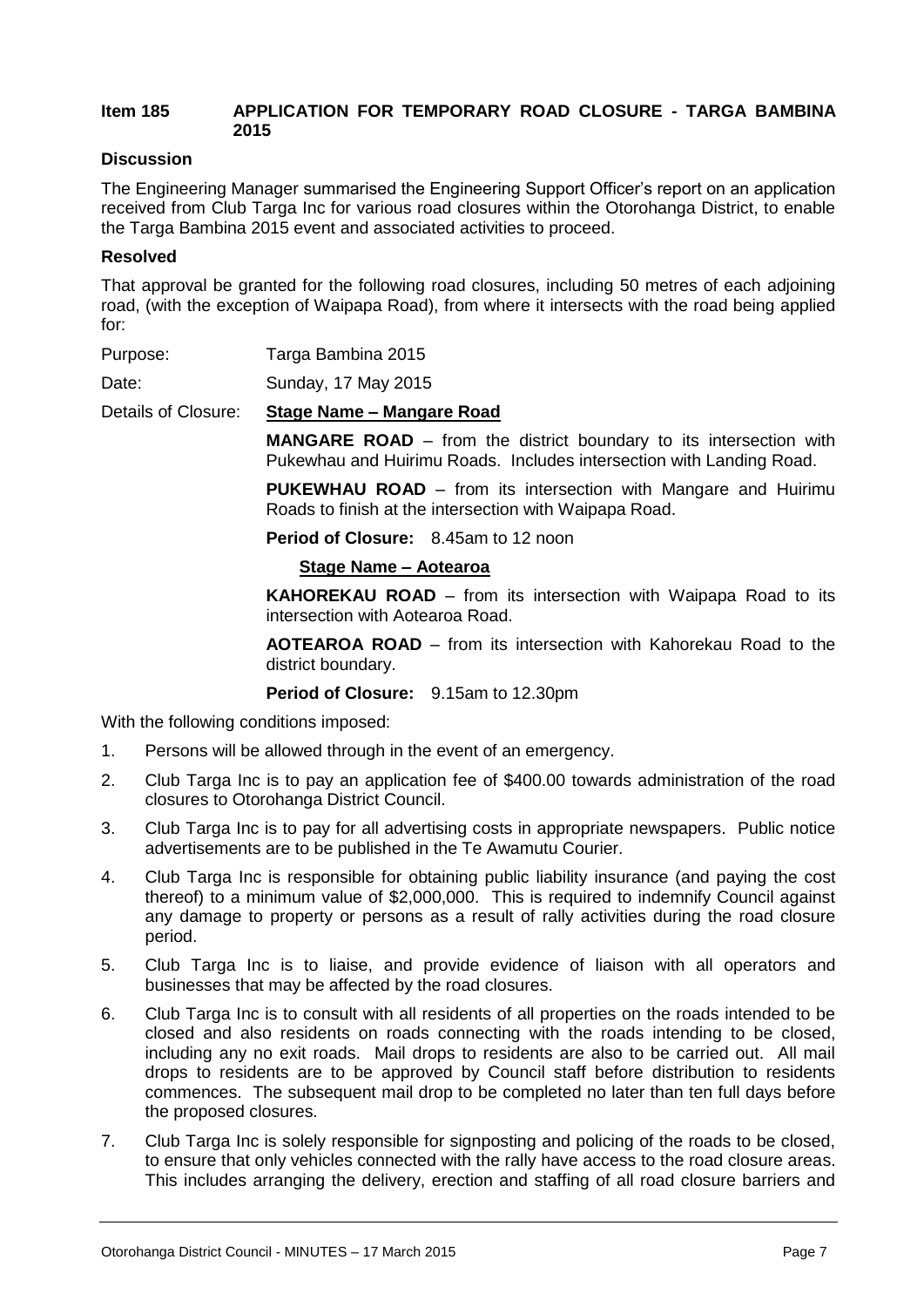#### **Item 185 APPLICATION FOR TEMPORARY ROAD CLOSURE - TARGA BAMBINA 2015**

#### **Discussion**

The Engineering Manager summarised the Engineering Support Officer's report on an application received from Club Targa Inc for various road closures within the Otorohanga District, to enable the Targa Bambina 2015 event and associated activities to proceed.

#### **Resolved**

That approval be granted for the following road closures, including 50 metres of each adjoining road, (with the exception of Waipapa Road), from where it intersects with the road being applied for:

| Purpose: | Targa Bambina 2015 |
|----------|--------------------|
|          |                    |

Date: Sunday, 17 May 2015

Details of Closure: **Stage Name – Mangare Road**

**MANGARE ROAD** – from the district boundary to its intersection with Pukewhau and Huirimu Roads. Includes intersection with Landing Road.

**PUKEWHAU ROAD** – from its intersection with Mangare and Huirimu Roads to finish at the intersection with Waipapa Road.

**Period of Closure:** 8.45am to 12 noon

#### **Stage Name – Aotearoa**

**KAHOREKAU ROAD** – from its intersection with Waipapa Road to its intersection with Aotearoa Road.

**AOTEAROA ROAD** – from its intersection with Kahorekau Road to the district boundary.

#### **Period of Closure:** 9.15am to 12.30pm

With the following conditions imposed:

- 1. Persons will be allowed through in the event of an emergency.
- 2. Club Targa Inc is to pay an application fee of \$400.00 towards administration of the road closures to Otorohanga District Council.
- 3. Club Targa Inc is to pay for all advertising costs in appropriate newspapers. Public notice advertisements are to be published in the Te Awamutu Courier.
- 4. Club Targa Inc is responsible for obtaining public liability insurance (and paying the cost thereof) to a minimum value of \$2,000,000. This is required to indemnify Council against any damage to property or persons as a result of rally activities during the road closure period.
- 5. Club Targa Inc is to liaise, and provide evidence of liaison with all operators and businesses that may be affected by the road closures.
- 6. Club Targa Inc is to consult with all residents of all properties on the roads intended to be closed and also residents on roads connecting with the roads intending to be closed, including any no exit roads. Mail drops to residents are also to be carried out. All mail drops to residents are to be approved by Council staff before distribution to residents commences. The subsequent mail drop to be completed no later than ten full days before the proposed closures.
- 7. Club Targa Inc is solely responsible for signposting and policing of the roads to be closed, to ensure that only vehicles connected with the rally have access to the road closure areas. This includes arranging the delivery, erection and staffing of all road closure barriers and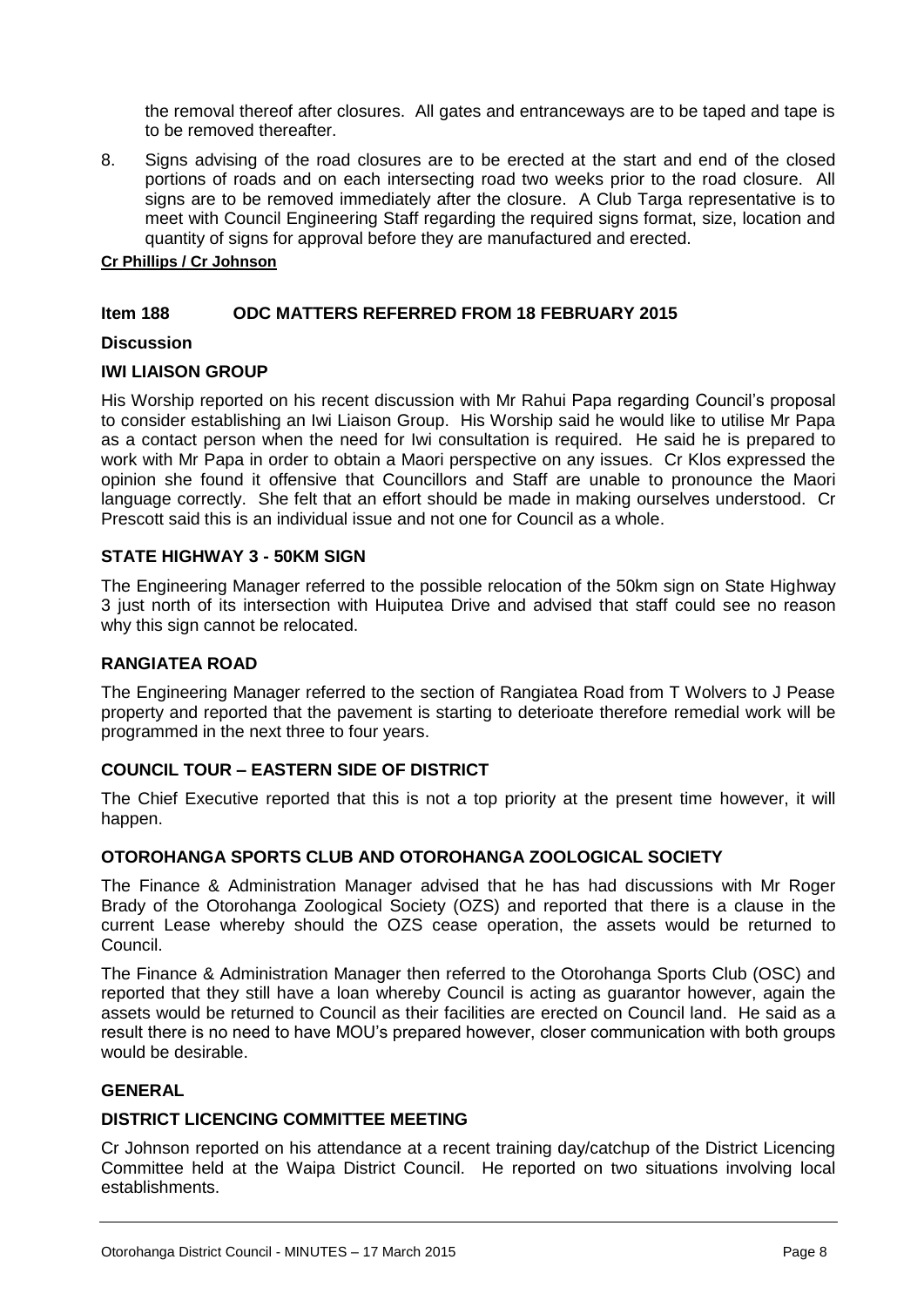the removal thereof after closures. All gates and entranceways are to be taped and tape is to be removed thereafter.

8. Signs advising of the road closures are to be erected at the start and end of the closed portions of roads and on each intersecting road two weeks prior to the road closure. All signs are to be removed immediately after the closure. A Club Targa representative is to meet with Council Engineering Staff regarding the required signs format, size, location and quantity of signs for approval before they are manufactured and erected.

#### **Cr Phillips / Cr Johnson**

#### **Item 188 ODC MATTERS REFERRED FROM 18 FEBRUARY 2015**

#### **Discussion**

#### **IWI LIAISON GROUP**

His Worship reported on his recent discussion with Mr Rahui Papa regarding Council's proposal to consider establishing an Iwi Liaison Group. His Worship said he would like to utilise Mr Papa as a contact person when the need for Iwi consultation is required. He said he is prepared to work with Mr Papa in order to obtain a Maori perspective on any issues. Cr Klos expressed the opinion she found it offensive that Councillors and Staff are unable to pronounce the Maori language correctly. She felt that an effort should be made in making ourselves understood. Cr Prescott said this is an individual issue and not one for Council as a whole.

#### **STATE HIGHWAY 3 - 50KM SIGN**

The Engineering Manager referred to the possible relocation of the 50km sign on State Highway 3 just north of its intersection with Huiputea Drive and advised that staff could see no reason why this sign cannot be relocated.

#### **RANGIATEA ROAD**

The Engineering Manager referred to the section of Rangiatea Road from T Wolvers to J Pease property and reported that the pavement is starting to deterioate therefore remedial work will be programmed in the next three to four years.

#### **COUNCIL TOUR – EASTERN SIDE OF DISTRICT**

The Chief Executive reported that this is not a top priority at the present time however, it will happen.

#### **OTOROHANGA SPORTS CLUB AND OTOROHANGA ZOOLOGICAL SOCIETY**

The Finance & Administration Manager advised that he has had discussions with Mr Roger Brady of the Otorohanga Zoological Society (OZS) and reported that there is a clause in the current Lease whereby should the OZS cease operation, the assets would be returned to Council.

The Finance & Administration Manager then referred to the Otorohanga Sports Club (OSC) and reported that they still have a loan whereby Council is acting as guarantor however, again the assets would be returned to Council as their facilities are erected on Council land. He said as a result there is no need to have MOU's prepared however, closer communication with both groups would be desirable.

#### **GENERAL**

#### **DISTRICT LICENCING COMMITTEE MEETING**

Cr Johnson reported on his attendance at a recent training day/catchup of the District Licencing Committee held at the Waipa District Council. He reported on two situations involving local establishments.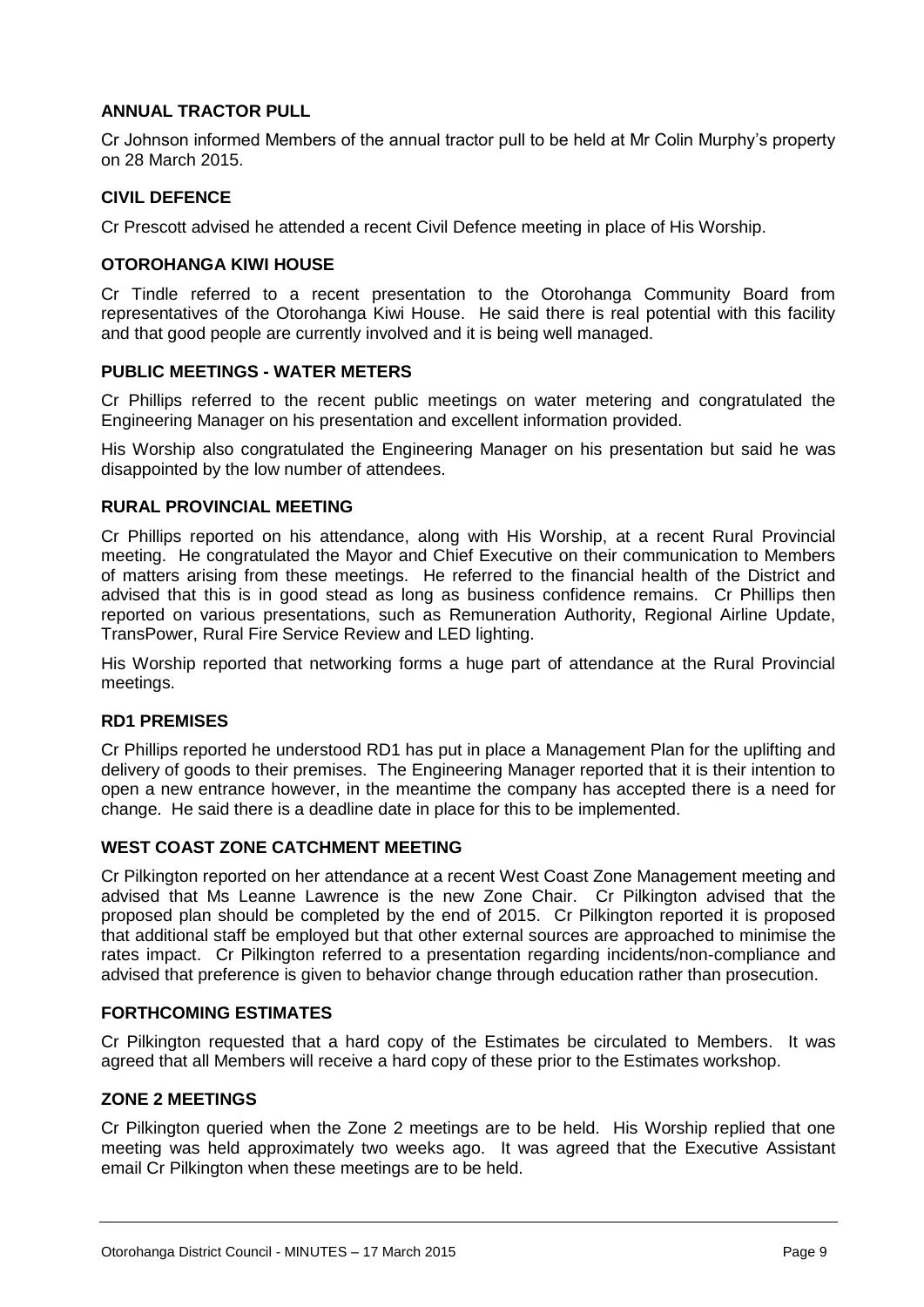#### **ANNUAL TRACTOR PULL**

Cr Johnson informed Members of the annual tractor pull to be held at Mr Colin Murphy's property on 28 March 2015.

#### **CIVIL DEFENCE**

Cr Prescott advised he attended a recent Civil Defence meeting in place of His Worship.

#### **OTOROHANGA KIWI HOUSE**

Cr Tindle referred to a recent presentation to the Otorohanga Community Board from representatives of the Otorohanga Kiwi House. He said there is real potential with this facility and that good people are currently involved and it is being well managed.

#### **PUBLIC MEETINGS - WATER METERS**

Cr Phillips referred to the recent public meetings on water metering and congratulated the Engineering Manager on his presentation and excellent information provided.

His Worship also congratulated the Engineering Manager on his presentation but said he was disappointed by the low number of attendees.

#### **RURAL PROVINCIAL MEETING**

Cr Phillips reported on his attendance, along with His Worship, at a recent Rural Provincial meeting. He congratulated the Mayor and Chief Executive on their communication to Members of matters arising from these meetings. He referred to the financial health of the District and advised that this is in good stead as long as business confidence remains. Cr Phillips then reported on various presentations, such as Remuneration Authority, Regional Airline Update, TransPower, Rural Fire Service Review and LED lighting.

His Worship reported that networking forms a huge part of attendance at the Rural Provincial meetings.

#### **RD1 PREMISES**

Cr Phillips reported he understood RD1 has put in place a Management Plan for the uplifting and delivery of goods to their premises. The Engineering Manager reported that it is their intention to open a new entrance however, in the meantime the company has accepted there is a need for change. He said there is a deadline date in place for this to be implemented.

#### **WEST COAST ZONE CATCHMENT MEETING**

Cr Pilkington reported on her attendance at a recent West Coast Zone Management meeting and advised that Ms Leanne Lawrence is the new Zone Chair. Cr Pilkington advised that the proposed plan should be completed by the end of 2015. Cr Pilkington reported it is proposed that additional staff be employed but that other external sources are approached to minimise the rates impact. Cr Pilkington referred to a presentation regarding incidents/non-compliance and advised that preference is given to behavior change through education rather than prosecution.

#### **FORTHCOMING ESTIMATES**

Cr Pilkington requested that a hard copy of the Estimates be circulated to Members. It was agreed that all Members will receive a hard copy of these prior to the Estimates workshop.

#### **ZONE 2 MEETINGS**

Cr Pilkington queried when the Zone 2 meetings are to be held. His Worship replied that one meeting was held approximately two weeks ago. It was agreed that the Executive Assistant email Cr Pilkington when these meetings are to be held.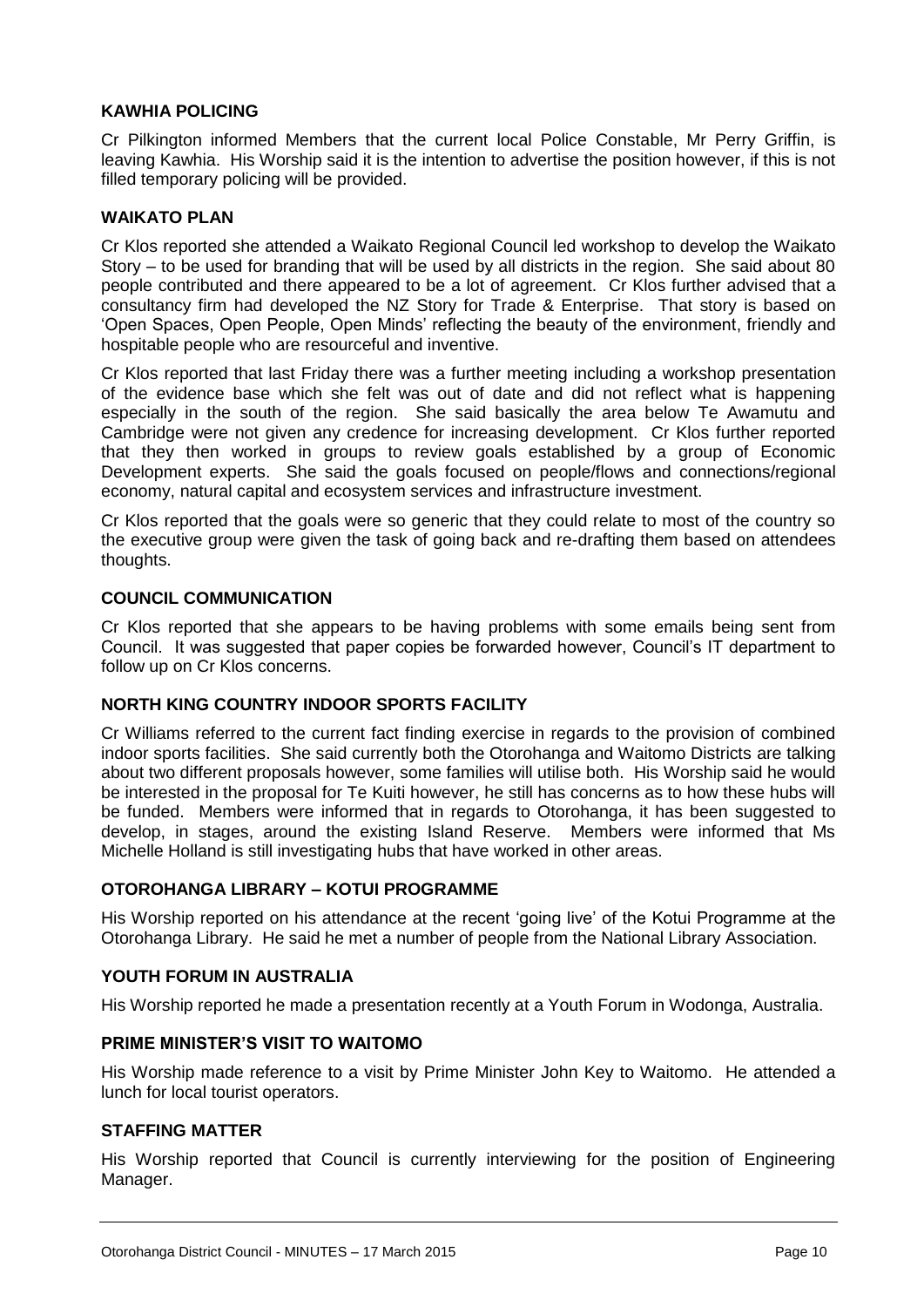#### **KAWHIA POLICING**

Cr Pilkington informed Members that the current local Police Constable, Mr Perry Griffin, is leaving Kawhia. His Worship said it is the intention to advertise the position however, if this is not filled temporary policing will be provided.

#### **WAIKATO PLAN**

Cr Klos reported she attended a Waikato Regional Council led workshop to develop the Waikato Story – to be used for branding that will be used by all districts in the region. She said about 80 people contributed and there appeared to be a lot of agreement. Cr Klos further advised that a consultancy firm had developed the NZ Story for Trade & Enterprise. That story is based on 'Open Spaces, Open People, Open Minds' reflecting the beauty of the environment, friendly and hospitable people who are resourceful and inventive.

Cr Klos reported that last Friday there was a further meeting including a workshop presentation of the evidence base which she felt was out of date and did not reflect what is happening especially in the south of the region. She said basically the area below Te Awamutu and Cambridge were not given any credence for increasing development. Cr Klos further reported that they then worked in groups to review goals established by a group of Economic Development experts. She said the goals focused on people/flows and connections/regional economy, natural capital and ecosystem services and infrastructure investment.

Cr Klos reported that the goals were so generic that they could relate to most of the country so the executive group were given the task of going back and re-drafting them based on attendees thoughts.

#### **COUNCIL COMMUNICATION**

Cr Klos reported that she appears to be having problems with some emails being sent from Council. It was suggested that paper copies be forwarded however, Council's IT department to follow up on Cr Klos concerns.

#### **NORTH KING COUNTRY INDOOR SPORTS FACILITY**

Cr Williams referred to the current fact finding exercise in regards to the provision of combined indoor sports facilities. She said currently both the Otorohanga and Waitomo Districts are talking about two different proposals however, some families will utilise both. His Worship said he would be interested in the proposal for Te Kuiti however, he still has concerns as to how these hubs will be funded. Members were informed that in regards to Otorohanga, it has been suggested to develop, in stages, around the existing Island Reserve. Members were informed that Ms Michelle Holland is still investigating hubs that have worked in other areas.

#### **OTOROHANGA LIBRARY – KOTUI PROGRAMME**

His Worship reported on his attendance at the recent 'going live' of the Kotui Programme at the Otorohanga Library. He said he met a number of people from the National Library Association.

#### **YOUTH FORUM IN AUSTRALIA**

His Worship reported he made a presentation recently at a Youth Forum in Wodonga, Australia.

#### **PRIME MINISTER'S VISIT TO WAITOMO**

His Worship made reference to a visit by Prime Minister John Key to Waitomo. He attended a lunch for local tourist operators.

#### **STAFFING MATTER**

His Worship reported that Council is currently interviewing for the position of Engineering Manager.